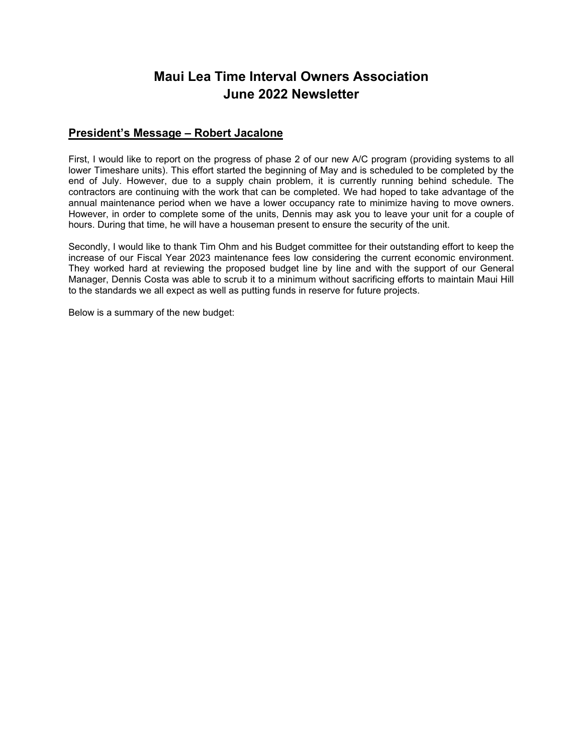## **Maui Lea Time Interval Owners Association June 2022 Newsletter**

#### **President's Message – Robert Jacalone**

First, I would like to report on the progress of phase 2 of our new A/C program (providing systems to all lower Timeshare units). This effort started the beginning of May and is scheduled to be completed by the end of July. However, due to a supply chain problem, it is currently running behind schedule. The contractors are continuing with the work that can be completed. We had hoped to take advantage of the annual maintenance period when we have a lower occupancy rate to minimize having to move owners. However, in order to complete some of the units, Dennis may ask you to leave your unit for a couple of hours. During that time, he will have a houseman present to ensure the security of the unit.

Secondly, I would like to thank Tim Ohm and his Budget committee for their outstanding effort to keep the increase of our Fiscal Year 2023 maintenance fees low considering the current economic environment. They worked hard at reviewing the proposed budget line by line and with the support of our General Manager, Dennis Costa was able to scrub it to a minimum without sacrificing efforts to maintain Maui Hill to the standards we all expect as well as putting funds in reserve for future projects.

Below is a summary of the new budget: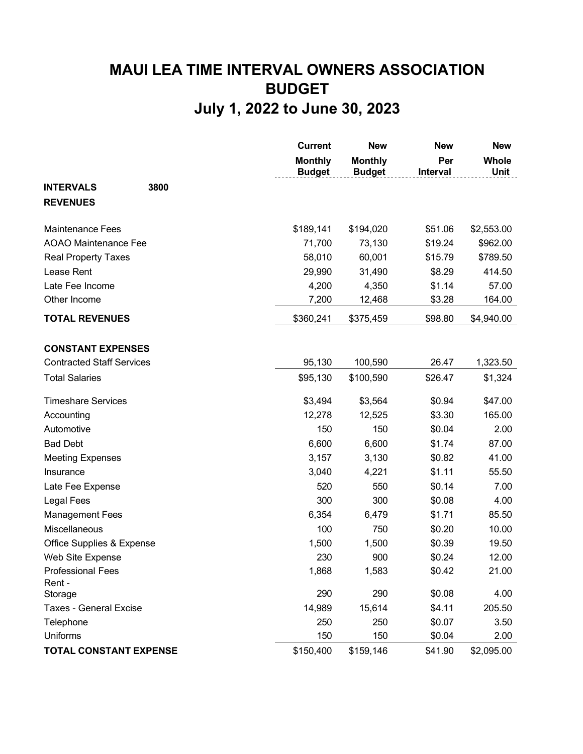# **MAUI LEA TIME INTERVAL OWNERS ASSOCIATION BUDGET July 1, 2022 to June 30, 2023**

|                                  |      | <b>Current</b>                  | <b>New</b>                      | <b>New</b>      | <b>New</b>                  |
|----------------------------------|------|---------------------------------|---------------------------------|-----------------|-----------------------------|
|                                  |      | <b>Monthly</b><br><b>Budget</b> | <b>Monthly</b><br><b>Budget</b> | Per<br>Interval | <b>Whole</b><br><b>Unit</b> |
| <b>INTERVALS</b>                 | 3800 |                                 |                                 |                 |                             |
| <b>REVENUES</b>                  |      |                                 |                                 |                 |                             |
| <b>Maintenance Fees</b>          |      | \$189,141                       | \$194,020                       | \$51.06         | \$2,553.00                  |
| <b>AOAO Maintenance Fee</b>      |      | 71,700                          | 73,130                          | \$19.24         | \$962.00                    |
| <b>Real Property Taxes</b>       |      | 58,010                          | 60,001                          | \$15.79         | \$789.50                    |
| Lease Rent                       |      | 29,990                          | 31,490                          | \$8.29          | 414.50                      |
| Late Fee Income                  |      | 4,200                           | 4,350                           | \$1.14          | 57.00                       |
| Other Income                     |      | 7,200                           | 12,468                          | \$3.28          | 164.00                      |
| <b>TOTAL REVENUES</b>            |      | \$360,241                       | \$375,459                       | \$98.80         | \$4,940.00                  |
| <b>CONSTANT EXPENSES</b>         |      |                                 |                                 |                 |                             |
| <b>Contracted Staff Services</b> |      | 95,130                          | 100,590                         | 26.47           | 1,323.50                    |
| <b>Total Salaries</b>            |      | \$95,130                        | \$100,590                       | \$26.47         | \$1,324                     |
| <b>Timeshare Services</b>        |      | \$3,494                         | \$3,564                         | \$0.94          | \$47.00                     |
| Accounting                       |      | 12,278                          | 12,525                          | \$3.30          | 165.00                      |
| Automotive                       |      | 150                             | 150                             | \$0.04          | 2.00                        |
| <b>Bad Debt</b>                  |      | 6,600                           | 6,600                           | \$1.74          | 87.00                       |
| <b>Meeting Expenses</b>          |      | 3,157                           | 3,130                           | \$0.82          | 41.00                       |
| Insurance                        |      | 3,040                           | 4,221                           | \$1.11          | 55.50                       |
| Late Fee Expense                 |      | 520                             | 550                             | \$0.14          | 7.00                        |
| <b>Legal Fees</b>                |      | 300                             | 300                             | \$0.08          | 4.00                        |
| <b>Management Fees</b>           |      | 6,354                           | 6,479                           | \$1.71          | 85.50                       |
| Miscellaneous                    |      | 100                             | 750                             | \$0.20          | 10.00                       |
| Office Supplies & Expense        |      | 1,500                           | 1,500                           | \$0.39          | 19.50                       |
| Web Site Expense                 |      | 230                             | 900                             | \$0.24          | 12.00                       |
| <b>Professional Fees</b>         |      | 1,868                           | 1,583                           | \$0.42          | 21.00                       |
| Rent -                           |      |                                 |                                 |                 |                             |
| Storage                          |      | 290                             | 290                             | \$0.08          | 4.00                        |
| <b>Taxes - General Excise</b>    |      | 14,989                          | 15,614                          | \$4.11          | 205.50                      |
| Telephone                        |      | 250                             | 250                             | \$0.07          | 3.50                        |
| Uniforms                         |      | 150                             | 150                             | \$0.04          | 2.00                        |
| <b>TOTAL CONSTANT EXPENSE</b>    |      | \$150,400                       | \$159,146                       | \$41.90         | \$2,095.00                  |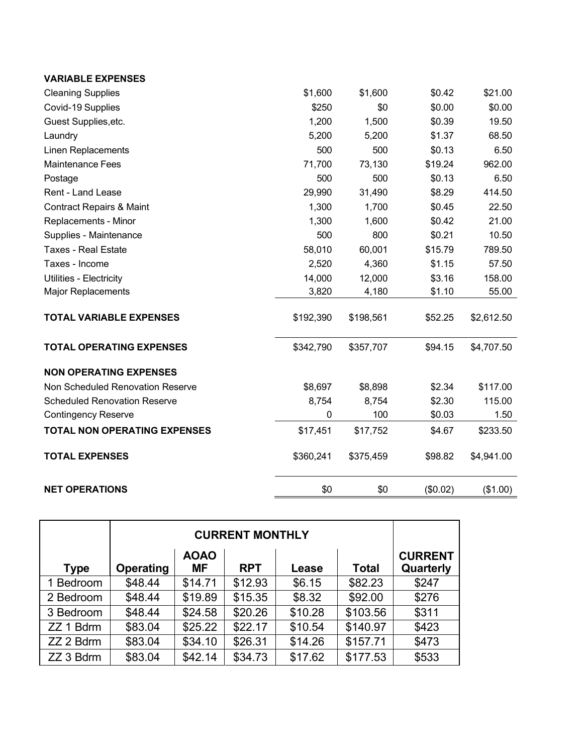| <b>VARIABLE EXPENSES</b>            |           |           |          |            |
|-------------------------------------|-----------|-----------|----------|------------|
| <b>Cleaning Supplies</b>            | \$1,600   | \$1,600   | \$0.42   | \$21.00    |
| Covid-19 Supplies                   | \$250     | \$0       | \$0.00   | \$0.00     |
| Guest Supplies, etc.                | 1,200     | 1,500     | \$0.39   | 19.50      |
| Laundry                             | 5,200     | 5,200     | \$1.37   | 68.50      |
| <b>Linen Replacements</b>           | 500       | 500       | \$0.13   | 6.50       |
| <b>Maintenance Fees</b>             | 71,700    | 73,130    | \$19.24  | 962.00     |
| Postage                             | 500       | 500       | \$0.13   | 6.50       |
| Rent - Land Lease                   | 29,990    | 31,490    | \$8.29   | 414.50     |
| <b>Contract Repairs &amp; Maint</b> | 1,300     | 1,700     | \$0.45   | 22.50      |
| Replacements - Minor                | 1,300     | 1,600     | \$0.42   | 21.00      |
| Supplies - Maintenance              | 500       | 800       | \$0.21   | 10.50      |
| <b>Taxes - Real Estate</b>          | 58,010    | 60,001    | \$15.79  | 789.50     |
| Taxes - Income                      | 2,520     | 4,360     | \$1.15   | 57.50      |
| Utilities - Electricity             | 14,000    | 12,000    | \$3.16   | 158.00     |
| <b>Major Replacements</b>           | 3,820     | 4,180     | \$1.10   | 55.00      |
| <b>TOTAL VARIABLE EXPENSES</b>      | \$192,390 | \$198,561 | \$52.25  | \$2,612.50 |
| <b>TOTAL OPERATING EXPENSES</b>     | \$342,790 | \$357,707 | \$94.15  | \$4,707.50 |
| <b>NON OPERATING EXPENSES</b>       |           |           |          |            |
| Non Scheduled Renovation Reserve    | \$8,697   | \$8,898   | \$2.34   | \$117.00   |
| <b>Scheduled Renovation Reserve</b> | 8,754     | 8,754     | \$2.30   | 115.00     |
| <b>Contingency Reserve</b>          | 0         | 100       | \$0.03   | 1.50       |
| <b>TOTAL NON OPERATING EXPENSES</b> | \$17,451  | \$17,752  | \$4.67   | \$233.50   |
| <b>TOTAL EXPENSES</b>               | \$360,241 | \$375,459 | \$98.82  | \$4,941.00 |
| <b>NET OPERATIONS</b>               | \$0       | \$0       | (\$0.02) | (\$1.00)   |

|             | <b>CURRENT MONTHLY</b> |                          |            |         |          |                             |
|-------------|------------------------|--------------------------|------------|---------|----------|-----------------------------|
| <b>Type</b> | Operating              | <b>AOAO</b><br><b>MF</b> | <b>RPT</b> | Lease   | Total    | <b>CURRENT</b><br>Quarterly |
| 1 Bedroom   | \$48.44                | \$14.71                  | \$12.93    | \$6.15  | \$82.23  | \$247                       |
| 2 Bedroom   | \$48.44                | \$19.89                  | \$15.35    | \$8.32  | \$92.00  | \$276                       |
| 3 Bedroom   | \$48.44                | \$24.58                  | \$20.26    | \$10.28 | \$103.56 | \$311                       |
| ZZ 1 Bdrm   | \$83.04                | \$25.22                  | \$22.17    | \$10.54 | \$140.97 | \$423                       |
| ZZ 2 Bdrm   | \$83.04                | \$34.10                  | \$26.31    | \$14.26 | \$157.71 | \$473                       |
| ZZ 3 Bdrm   | \$83.04                | \$42.14                  | \$34.73    | \$17.62 | \$177.53 | \$533                       |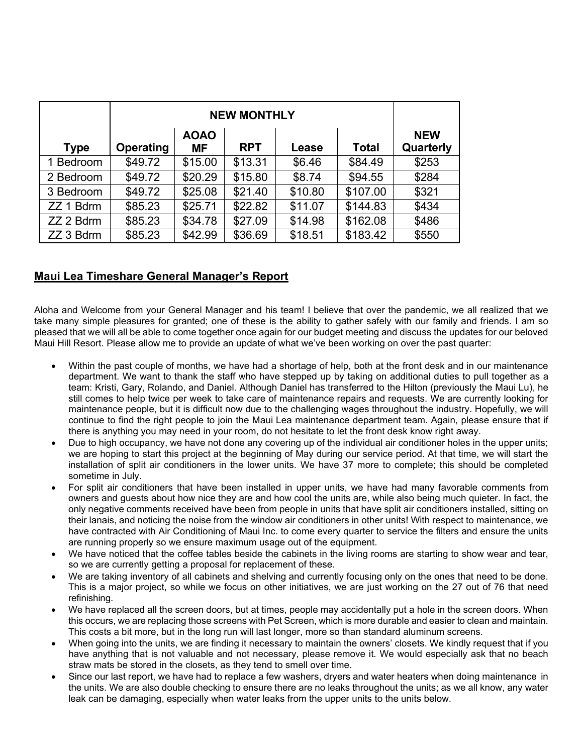|             | <b>NEW MONTHLY</b> |                          |            |         |              |                         |
|-------------|--------------------|--------------------------|------------|---------|--------------|-------------------------|
| <b>Type</b> | Operating          | <b>AOAO</b><br><b>MF</b> | <b>RPT</b> | Lease   | <b>Total</b> | <b>NEW</b><br>Quarterly |
| 1 Bedroom   | \$49.72            | \$15.00                  | \$13.31    | \$6.46  | \$84.49      | \$253                   |
| 2 Bedroom   | \$49.72            | \$20.29                  | \$15.80    | \$8.74  | \$94.55      | \$284                   |
| 3 Bedroom   | \$49.72            | \$25.08                  | \$21.40    | \$10.80 | \$107.00     | \$321                   |
| ZZ 1 Bdrm   | \$85.23            | \$25.71                  | \$22.82    | \$11.07 | \$144.83     | \$434                   |
| ZZ 2 Bdrm   | \$85.23            | \$34.78                  | \$27.09    | \$14.98 | \$162.08     | \$486                   |
| ZZ 3 Bdrm   | \$85.23            | \$42.99                  | \$36.69    | \$18.51 | \$183.42     | \$550                   |

#### **Maui Lea Timeshare General Manager's Report**

Aloha and Welcome from your General Manager and his team! I believe that over the pandemic, we all realized that we take many simple pleasures for granted; one of these is the ability to gather safely with our family and friends. I am so pleased that we will all be able to come together once again for our budget meeting and discuss the updates for our beloved Maui Hill Resort. Please allow me to provide an update of what we've been working on over the past quarter:

- Within the past couple of months, we have had a shortage of help, both at the front desk and in our maintenance department. We want to thank the staff who have stepped up by taking on additional duties to pull together as a team: Kristi, Gary, Rolando, and Daniel. Although Daniel has transferred to the Hilton (previously the Maui Lu), he still comes to help twice per week to take care of maintenance repairs and requests. We are currently looking for maintenance people, but it is difficult now due to the challenging wages throughout the industry. Hopefully, we will continue to find the right people to join the Maui Lea maintenance department team. Again, please ensure that if there is anything you may need in your room, do not hesitate to let the front desk know right away.
- Due to high occupancy, we have not done any covering up of the individual air conditioner holes in the upper units; we are hoping to start this project at the beginning of May during our service period. At that time, we will start the installation of split air conditioners in the lower units. We have 37 more to complete; this should be completed sometime in July.
- For split air conditioners that have been installed in upper units, we have had many favorable comments from owners and guests about how nice they are and how cool the units are, while also being much quieter. In fact, the only negative comments received have been from people in units that have split air conditioners installed, sitting on their lanais, and noticing the noise from the window air conditioners in other units! With respect to maintenance, we have contracted with Air Conditioning of Maui Inc. to come every quarter to service the filters and ensure the units are running properly so we ensure maximum usage out of the equipment.
- We have noticed that the coffee tables beside the cabinets in the living rooms are starting to show wear and tear, so we are currently getting a proposal for replacement of these.
- We are taking inventory of all cabinets and shelving and currently focusing only on the ones that need to be done. This is a major project, so while we focus on other initiatives, we are just working on the 27 out of 76 that need refinishing.
- We have replaced all the screen doors, but at times, people may accidentally put a hole in the screen doors. When this occurs, we are replacing those screens with Pet Screen, which is more durable and easier to clean and maintain. This costs a bit more, but in the long run will last longer, more so than standard aluminum screens.
- When going into the units, we are finding it necessary to maintain the owners' closets. We kindly request that if you have anything that is not valuable and not necessary, please remove it. We would especially ask that no beach straw mats be stored in the closets, as they tend to smell over time.
- Since our last report, we have had to replace a few washers, dryers and water heaters when doing maintenance in the units. We are also double checking to ensure there are no leaks throughout the units; as we all know, any water leak can be damaging, especially when water leaks from the upper units to the units below.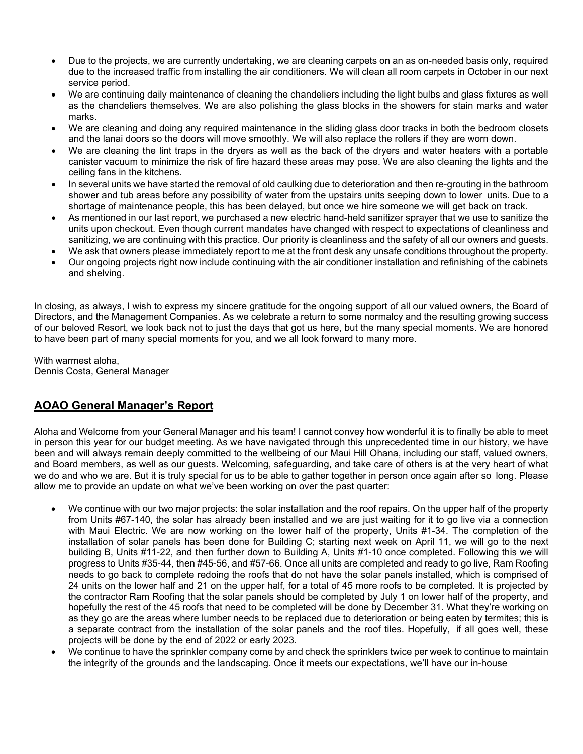- Due to the projects, we are currently undertaking, we are cleaning carpets on an as on-needed basis only, required due to the increased traffic from installing the air conditioners. We will clean all room carpets in October in our next service period.
- We are continuing daily maintenance of cleaning the chandeliers including the light bulbs and glass fixtures as well as the chandeliers themselves. We are also polishing the glass blocks in the showers for stain marks and water marks.
- We are cleaning and doing any required maintenance in the sliding glass door tracks in both the bedroom closets and the lanai doors so the doors will move smoothly. We will also replace the rollers if they are worn down.
- We are cleaning the lint traps in the dryers as well as the back of the dryers and water heaters with a portable canister vacuum to minimize the risk of fire hazard these areas may pose. We are also cleaning the lights and the ceiling fans in the kitchens.
- In several units we have started the removal of old caulking due to deterioration and then re-grouting in the bathroom shower and tub areas before any possibility of water from the upstairs units seeping down to lower units. Due to a shortage of maintenance people, this has been delayed, but once we hire someone we will get back on track.
- As mentioned in our last report, we purchased a new electric hand-held sanitizer sprayer that we use to sanitize the units upon checkout. Even though current mandates have changed with respect to expectations of cleanliness and sanitizing, we are continuing with this practice. Our priority is cleanliness and the safety of all our owners and guests.
- We ask that owners please immediately report to me at the front desk any unsafe conditions throughout the property.
- Our ongoing projects right now include continuing with the air conditioner installation and refinishing of the cabinets and shelving.

In closing, as always, I wish to express my sincere gratitude for the ongoing support of all our valued owners, the Board of Directors, and the Management Companies. As we celebrate a return to some normalcy and the resulting growing success of our beloved Resort, we look back not to just the days that got us here, but the many special moments. We are honored to have been part of many special moments for you, and we all look forward to many more.

With warmest aloha, Dennis Costa, General Manager

#### **AOAO General Manager's Report**

Aloha and Welcome from your General Manager and his team! I cannot convey how wonderful it is to finally be able to meet in person this year for our budget meeting. As we have navigated through this unprecedented time in our history, we have been and will always remain deeply committed to the wellbeing of our Maui Hill Ohana, including our staff, valued owners, and Board members, as well as our guests. Welcoming, safeguarding, and take care of others is at the very heart of what we do and who we are. But it is truly special for us to be able to gather together in person once again after so long. Please allow me to provide an update on what we've been working on over the past quarter:

- We continue with our two major projects: the solar installation and the roof repairs. On the upper half of the property from Units #67-140, the solar has already been installed and we are just waiting for it to go live via a connection with Maui Electric. We are now working on the lower half of the property, Units #1-34. The completion of the installation of solar panels has been done for Building C; starting next week on April 11, we will go to the next building B, Units #11-22, and then further down to Building A, Units #1-10 once completed. Following this we will progress to Units #35-44, then #45-56, and #57-66. Once all units are completed and ready to go live, Ram Roofing needs to go back to complete redoing the roofs that do not have the solar panels installed, which is comprised of 24 units on the lower half and 21 on the upper half, for a total of 45 more roofs to be completed. It is projected by the contractor Ram Roofing that the solar panels should be completed by July 1 on lower half of the property, and hopefully the rest of the 45 roofs that need to be completed will be done by December 31. What they're working on as they go are the areas where lumber needs to be replaced due to deterioration or being eaten by termites; this is a separate contract from the installation of the solar panels and the roof tiles. Hopefully, if all goes well, these projects will be done by the end of 2022 or early 2023.
- We continue to have the sprinkler company come by and check the sprinklers twice per week to continue to maintain the integrity of the grounds and the landscaping. Once it meets our expectations, we'll have our in-house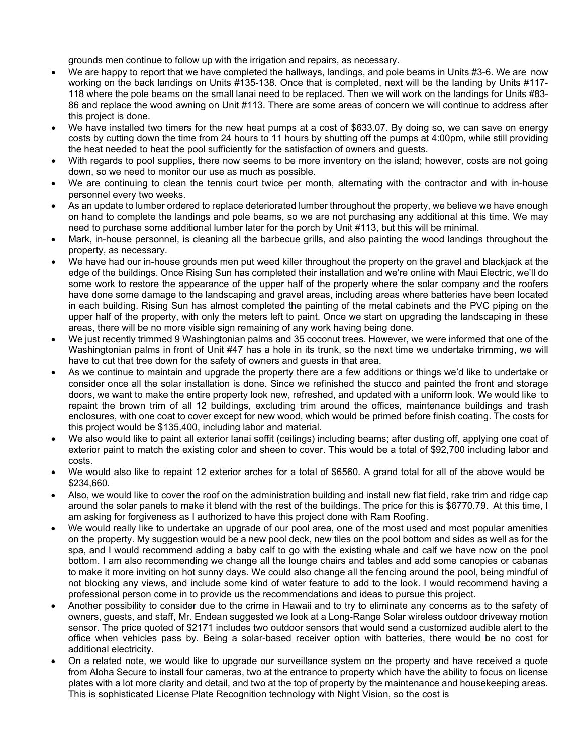grounds men continue to follow up with the irrigation and repairs, as necessary.

- We are happy to report that we have completed the hallways, landings, and pole beams in Units #3-6. We are now working on the back landings on Units #135-138. Once that is completed, next will be the landing by Units #117- 118 where the pole beams on the small lanai need to be replaced. Then we will work on the landings for Units #83- 86 and replace the wood awning on Unit #113. There are some areas of concern we will continue to address after this project is done.
- We have installed two timers for the new heat pumps at a cost of \$633.07. By doing so, we can save on energy costs by cutting down the time from 24 hours to 11 hours by shutting off the pumps at 4:00pm, while still providing the heat needed to heat the pool sufficiently for the satisfaction of owners and guests.
- With regards to pool supplies, there now seems to be more inventory on the island; however, costs are not going down, so we need to monitor our use as much as possible.
- We are continuing to clean the tennis court twice per month, alternating with the contractor and with in-house personnel every two weeks.
- As an update to lumber ordered to replace deteriorated lumber throughout the property, we believe we have enough on hand to complete the landings and pole beams, so we are not purchasing any additional at this time. We may need to purchase some additional lumber later for the porch by Unit #113, but this will be minimal.
- Mark, in-house personnel, is cleaning all the barbecue grills, and also painting the wood landings throughout the property, as necessary.
- We have had our in-house grounds men put weed killer throughout the property on the gravel and blackjack at the edge of the buildings. Once Rising Sun has completed their installation and we're online with Maui Electric, we'll do some work to restore the appearance of the upper half of the property where the solar company and the roofers have done some damage to the landscaping and gravel areas, including areas where batteries have been located in each building. Rising Sun has almost completed the painting of the metal cabinets and the PVC piping on the upper half of the property, with only the meters left to paint. Once we start on upgrading the landscaping in these areas, there will be no more visible sign remaining of any work having being done.
- We just recently trimmed 9 Washingtonian palms and 35 coconut trees. However, we were informed that one of the Washingtonian palms in front of Unit #47 has a hole in its trunk, so the next time we undertake trimming, we will have to cut that tree down for the safety of owners and guests in that area.
- As we continue to maintain and upgrade the property there are a few additions or things we'd like to undertake or consider once all the solar installation is done. Since we refinished the stucco and painted the front and storage doors, we want to make the entire property look new, refreshed, and updated with a uniform look. We would like to repaint the brown trim of all 12 buildings, excluding trim around the offices, maintenance buildings and trash enclosures, with one coat to cover except for new wood, which would be primed before finish coating. The costs for this project would be \$135,400, including labor and material.
- We also would like to paint all exterior lanai soffit (ceilings) including beams; after dusting off, applying one coat of exterior paint to match the existing color and sheen to cover. This would be a total of \$92,700 including labor and costs.
- We would also like to repaint 12 exterior arches for a total of \$6560. A grand total for all of the above would be \$234,660.
- Also, we would like to cover the roof on the administration building and install new flat field, rake trim and ridge cap around the solar panels to make it blend with the rest of the buildings. The price for this is \$6770.79. At this time, I am asking for forgiveness as I authorized to have this project done with Ram Roofing.
- We would really like to undertake an upgrade of our pool area, one of the most used and most popular amenities on the property. My suggestion would be a new pool deck, new tiles on the pool bottom and sides as well as for the spa, and I would recommend adding a baby calf to go with the existing whale and calf we have now on the pool bottom. I am also recommending we change all the lounge chairs and tables and add some canopies or cabanas to make it more inviting on hot sunny days. We could also change all the fencing around the pool, being mindful of not blocking any views, and include some kind of water feature to add to the look. I would recommend having a professional person come in to provide us the recommendations and ideas to pursue this project.
- Another possibility to consider due to the crime in Hawaii and to try to eliminate any concerns as to the safety of owners, guests, and staff, Mr. Endean suggested we look at a Long-Range Solar wireless outdoor driveway motion sensor. The price quoted of \$2171 includes two outdoor sensors that would send a customized audible alert to the office when vehicles pass by. Being a solar-based receiver option with batteries, there would be no cost for additional electricity.
- On a related note, we would like to upgrade our surveillance system on the property and have received a quote from Aloha Secure to install four cameras, two at the entrance to property which have the ability to focus on license plates with a lot more clarity and detail, and two at the top of property by the maintenance and housekeeping areas. This is sophisticated License Plate Recognition technology with Night Vision, so the cost is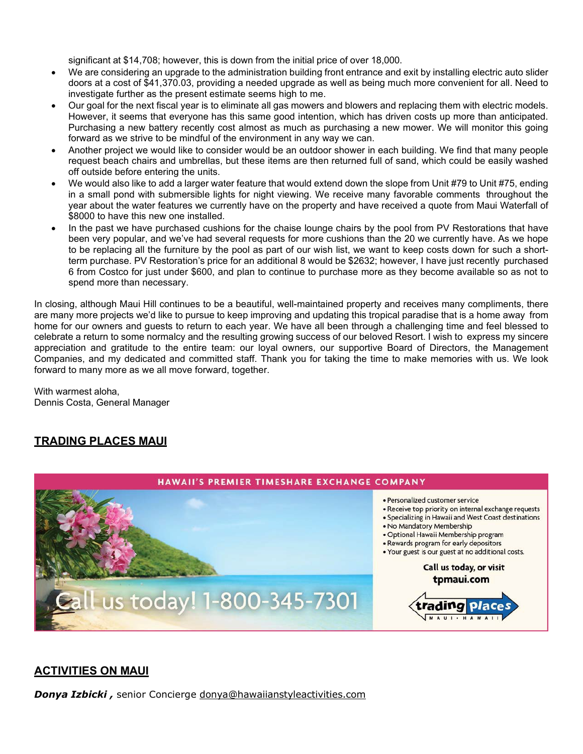significant at \$14,708; however, this is down from the initial price of over 18,000.

- We are considering an upgrade to the administration building front entrance and exit by installing electric auto slider doors at a cost of \$41,370.03, providing a needed upgrade as well as being much more convenient for all. Need to investigate further as the present estimate seems high to me.
- Our goal for the next fiscal year is to eliminate all gas mowers and blowers and replacing them with electric models. However, it seems that everyone has this same good intention, which has driven costs up more than anticipated. Purchasing a new battery recently cost almost as much as purchasing a new mower. We will monitor this going forward as we strive to be mindful of the environment in any way we can.
- Another project we would like to consider would be an outdoor shower in each building. We find that many people request beach chairs and umbrellas, but these items are then returned full of sand, which could be easily washed off outside before entering the units.
- We would also like to add a larger water feature that would extend down the slope from Unit #79 to Unit #75, ending in a small pond with submersible lights for night viewing. We receive many favorable comments throughout the year about the water features we currently have on the property and have received a quote from Maui Waterfall of \$8000 to have this new one installed.
- In the past we have purchased cushions for the chaise lounge chairs by the pool from PV Restorations that have been very popular, and we've had several requests for more cushions than the 20 we currently have. As we hope to be replacing all the furniture by the pool as part of our wish list, we want to keep costs down for such a shortterm purchase. PV Restoration's price for an additional 8 would be \$2632; however, I have just recently purchased 6 from Costco for just under \$600, and plan to continue to purchase more as they become available so as not to spend more than necessary.

In closing, although Maui Hill continues to be a beautiful, well-maintained property and receives many compliments, there are many more projects we'd like to pursue to keep improving and updating this tropical paradise that is a home away from home for our owners and guests to return to each year. We have all been through a challenging time and feel blessed to celebrate a return to some normalcy and the resulting growing success of our beloved Resort. I wish to express my sincere appreciation and gratitude to the entire team: our loyal owners, our supportive Board of Directors, the Management Companies, and my dedicated and committed staff. Thank you for taking the time to make memories with us. We look forward to many more as we all move forward, together.

With warmest aloha, Dennis Costa, General Manager

#### **TRADING PLACES MAUI**



#### **ACTIVITIES ON MAUI**

*Donya Izbicki ,* senior Concierge [donya@hawaiianstyleactivities.com](mailto:donya@hawaiianstyleactivities.com)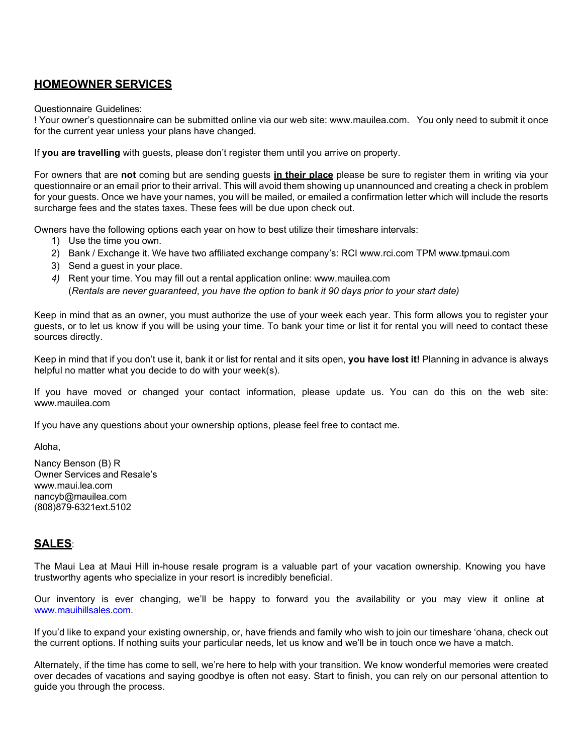#### **HOMEOWNER SERVICES**

Questionnaire Guidelines:

! Your owner's questionnaire can be submitted online via our web site: [www.mauilea.com.](http://www.mauilea.com/) You only need to submit it once for the current year unless your plans have changed.

If **you are travelling** with guests, please don't register them until you arrive on property.

For owners that are **not** coming but are sending guests **in their place** please be sure to register them in writing via your questionnaire or an email prior to their arrival. This will avoid them showing up unannounced and creating a check in problem for your guests. Once we have your names, you will be mailed, or emailed a confirmation letter which will include the resorts surcharge fees and the states taxes. These fees will be due upon check out.

Owners have the following options each year on how to best utilize their timeshare intervals:

- 1) Use the time you own.
- 2) Bank / Exchange it. We have two affiliated exchange company's: RCI [www.rci.com](http://www.rci.com/) TPM [www.tpmaui.com](http://www.tpmaui.com/)
- 3) Send a guest in your place.
- *4)* Rent your time. You may fill out a rental application online: [www.mauilea.com](http://www.mauilea.com/) (*Rentals are never guaranteed*, *you have the option to bank it 90 days prior to your start date)*

Keep in mind that as an owner, you must authorize the use of your week each year. This form allows you to register your guests, or to let us know if you will be using your time. To bank your time or list it for rental you will need to contact these sources directly.

Keep in mind that if you don't use it, bank it or list for rental and it sits open, **you have lost it!** Planning in advance is always helpful no matter what you decide to do with your week(s).

If you have moved or changed your contact information, please update us. You can do this on the web site: [www.mauilea.com](http://www.mauilea.com/)

If you have any questions about your ownership options, please feel free to contact me.

Aloha,

Nancy Benson (B) R Owner Services and Resale's [www.maui.lea.com](http://www.maui.lea.com/) [nancyb@mauilea.com](mailto:nancyb@mauilea.com) (808)879-6321ext.5102

#### **SALES**:

The Maui Lea at Maui Hill in-house resale program is a valuable part of your vacation ownership. Knowing you have trustworthy agents who specialize in your resort is incredibly beneficial.

Our inventory is ever changing, we'll be happy to forward you the availability or you may view it online at [www.mauihillsales.com.](http://www.mauihillsales.com/)

If you'd like to expand your existing ownership, or, have friends and family who wish to join our timeshare 'ohana, check out the current options. If nothing suits your particular needs, let us know and we'll be in touch once we have a match.

Alternately, if the time has come to sell, we're here to help with your transition. We know wonderful memories were created over decades of vacations and saying goodbye is often not easy. Start to finish, you can rely on our personal attention to guide you through the process.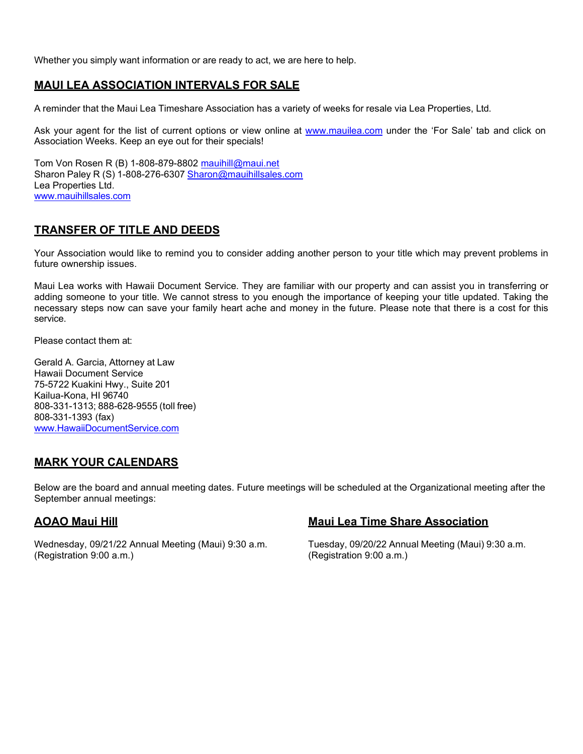Whether you simply want information or are ready to act, we are here to help.

### **MAUI LEA ASSOCIATION INTERVALS FOR SALE**

A reminder that the Maui Lea Timeshare Association has a variety of weeks for resale via Lea Properties, Ltd.

Ask your agent for the list of current options or view online at [www.mauilea.com](http://www.mauilea.com/) under the 'For Sale' tab and click on Association Weeks. Keep an eye out for their specials!

Tom Von Rosen R (B) 1-808-879-8802 [mauihill@maui.net](mailto:mauihill@maui.net) Sharon Paley R (S) 1-808-276-6307 [Sharon@mauihillsales.com](mailto:Sharon@mauihillsales.com) Lea Properties Ltd. [www.mauihillsales.com](http://www.mauihillsales.com/)

#### **TRANSFER OF TITLE AND DEEDS**

Your Association would like to remind you to consider adding another person to your title which may prevent problems in future ownership issues.

Maui Lea works with Hawaii Document Service. They are familiar with our property and can assist you in transferring or adding someone to your title. We cannot stress to you enough the importance of keeping your title updated. Taking the necessary steps now can save your family heart ache and money in the future. Please note that there is a cost for this service.

Please contact them at:

Gerald A. Garcia, Attorney at Law Hawaii Document Service 75-5722 Kuakini Hwy., Suite 201 Kailua-Kona, HI 96740 808-331-1313; 888-628-9555 (toll free) 808-331-1393 (fax) [www.HawaiiDocumentService.com](http://www.hawaiidocumentservice.com/)

#### **MARK YOUR CALENDARS**

Below are the board and annual meeting dates. Future meetings will be scheduled at the Organizational meeting after the September annual meetings:

Wednesday, 09/21/22 Annual Meeting (Maui) 9:30 a.m. Tuesday, 09/20/22 Annual Meeting (Maui) 9:30 a.m. (Registration 9:00 a.m.) (Registration 9:00 a.m.)

#### **AOAO Maui Hill Maui Lea Time Share Association**